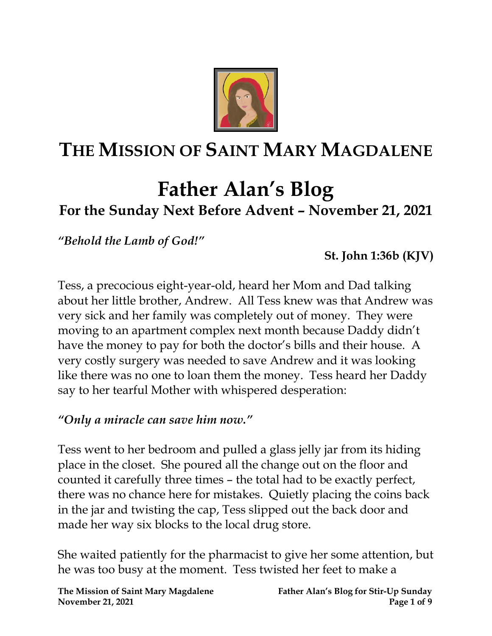

# **THE MISSION OF SAINT MARY MAGDALENE**

## **Father Alan's Blog For the Sunday Next Before Advent – November 21, 2021**

*"Behold the Lamb of God!"*

**St. John 1:36b (KJV)**

Tess, a precocious eight-year-old, heard her Mom and Dad talking about her little brother, Andrew. All Tess knew was that Andrew was very sick and her family was completely out of money. They were moving to an apartment complex next month because Daddy didn't have the money to pay for both the doctor's bills and their house. A very costly surgery was needed to save Andrew and it was looking like there was no one to loan them the money. Tess heard her Daddy say to her tearful Mother with whispered desperation:

#### *"Only a miracle can save him now."*

Tess went to her bedroom and pulled a glass jelly jar from its hiding place in the closet. She poured all the change out on the floor and counted it carefully three times – the total had to be exactly perfect, there was no chance here for mistakes. Quietly placing the coins back in the jar and twisting the cap, Tess slipped out the back door and made her way six blocks to the local drug store.

She waited patiently for the pharmacist to give her some attention, but he was too busy at the moment. Tess twisted her feet to make a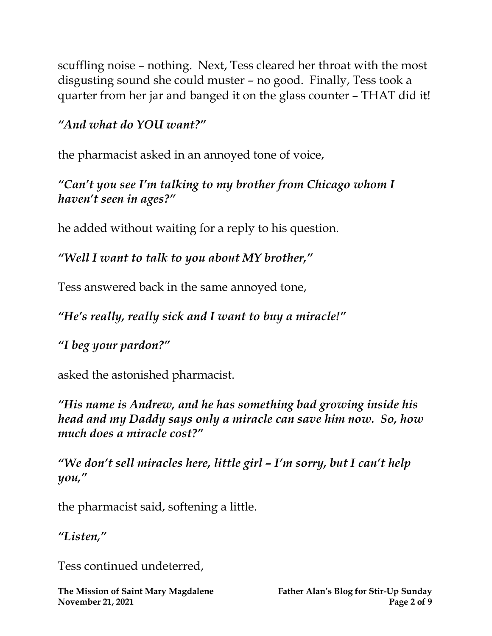scuffling noise – nothing. Next, Tess cleared her throat with the most disgusting sound she could muster – no good. Finally, Tess took a quarter from her jar and banged it on the glass counter – THAT did it!

#### *"And what do YOU want?"*

the pharmacist asked in an annoyed tone of voice,

#### *"Can't you see I'm talking to my brother from Chicago whom I haven't seen in ages?"*

he added without waiting for a reply to his question.

#### *"Well I want to talk to you about MY brother,"*

Tess answered back in the same annoyed tone,

### *"He's really, really sick and I want to buy a miracle!"*

### *"I beg your pardon?"*

asked the astonished pharmacist.

*"His name is Andrew, and he has something bad growing inside his head and my Daddy says only a miracle can save him now. So, how much does a miracle cost?"*

*"We don't sell miracles here, little girl – I'm sorry, but I can't help you, "*

the pharmacist said, softening a little.

#### *"Listen,"*

Tess continued undeterred,

**The Mission of Saint Mary Magdalene Father Alan's Blog for Stir-Up Sunday November 21, 2021 Page 2** of 9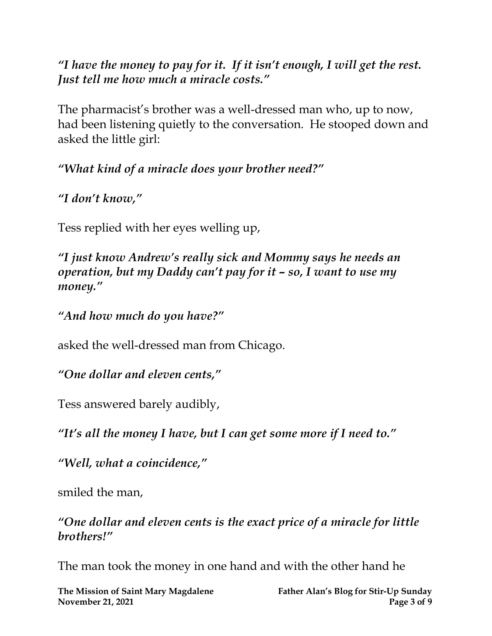*"I have the money to pay for it. If it isn't enough, I will get the rest. Just tell me how much a miracle costs."*

The pharmacist's brother was a well-dressed man who, up to now, had been listening quietly to the conversation. He stooped down and asked the little girl:

*"What kind of a miracle does your brother need?"*

*"I don't know,"* 

Tess replied with her eyes welling up,

*"I just know Andrew's really sick and Mommy says he needs an operation, but my Daddy can't pay for it – so, I want to use my money."*

*"And how much do you have?"* 

asked the well-dressed man from Chicago.

*"One dollar and eleven cents,"* 

Tess answered barely audibly,

*"It's all the money I have, but I can get some more if I need to."*

*"Well, what a coincidence,"* 

smiled the man,

*"One dollar and eleven cents is the exact price of a miracle for little brothers!"* 

The man took the money in one hand and with the other hand he

**The Mission of Saint Mary Magdalene Father Alan's Blog for Stir-Up Sunday November 21, 2021 Page 3** of 9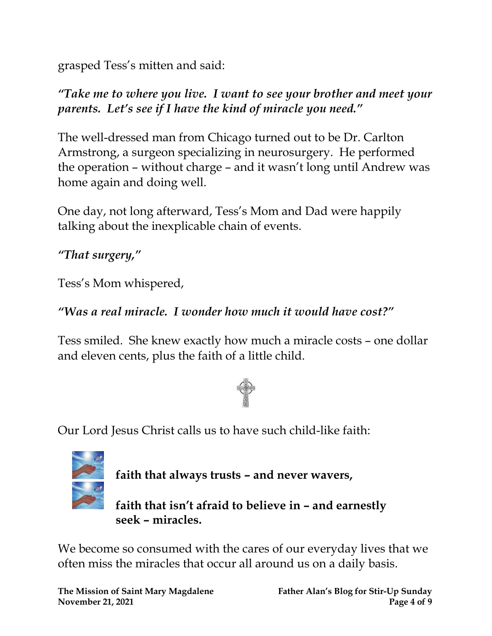grasped Tess's mitten and said:

*"Take me to where you live. I want to see your brother and meet your parents. Let's see if I have the kind of miracle you need."*

The well-dressed man from Chicago turned out to be Dr. Carlton Armstrong, a surgeon specializing in neurosurgery. He performed the operation – without charge – and it wasn't long until Andrew was home again and doing well.

One day, not long afterward, Tess's Mom and Dad were happily talking about the inexplicable chain of events.

*"That surgery,"* 

Tess's Mom whispered,

#### *"Was a real miracle. I wonder how much it would have cost?"*

Tess smiled. She knew exactly how much a miracle costs – one dollar and eleven cents, plus the faith of a little child.



Our Lord Jesus Christ calls us to have such child-like faith:



**faith that always trusts – and never wavers,** 

**faith that isn't afraid to believe in – and earnestly seek – miracles.**

We become so consumed with the cares of our everyday lives that we often miss the miracles that occur all around us on a daily basis.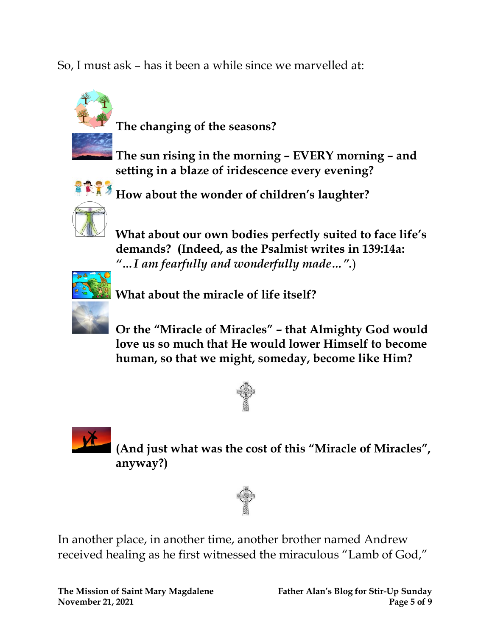So, I must ask – has it been a while since we marvelled at:



**The changing of the seasons?**

**The sun rising in the morning – EVERY morning – and setting in a blaze of iridescence every evening?**



**How about the wonder of children's laughter?**

**What about our own bodies perfectly suited to face life's demands? (Indeed, as the Psalmist writes in 139:14a:** *"…I am fearfully and wonderfully made…".*)



**What about the miracle of life itself?**

**Or the "Miracle of Miracles" – that Almighty God would love us so much that He would lower Himself to become human, so that we might, someday, become like Him?**





**(And just what was the cost of this "Miracle of Miracles" , anyway?)**



In another place, in another time, another brother named Andrew received healing as he first witnessed the miraculous "Lamb of God,"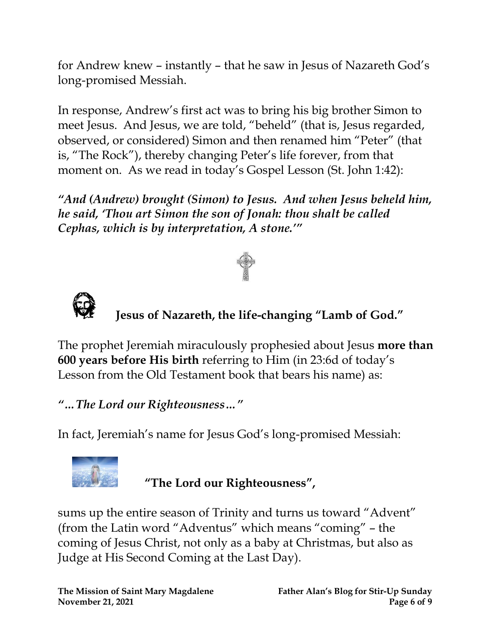for Andrew knew – instantly – that he saw in Jesus of Nazareth God's long-promised Messiah.

In response, Andrew's first act was to bring his big brother Simon to meet Jesus. And Jesus, we are told, "beheld" (that is, Jesus regarded, observed, or considered) Simon and then renamed him "Peter" (that is, "The Rock"), thereby changing Peter's life forever, from that moment on. As we read in today's Gospel Lesson (St. John 1:42):

*"And (Andrew) brought (Simon) to Jesus. And when Jesus beheld him, he said, 'Thou art Simon the son of Jonah: thou shalt be called Cephas, which is by interpretation, A stone.'"*





## **Jesus of Nazareth, the life-changing "Lamb of God."**

The prophet Jeremiah miraculously prophesied about Jesus **more than 600 years before His birth** referring to Him (in 23:6d of today's Lesson from the Old Testament book that bears his name) as:

#### *"…The Lord our Righteousness…"*

In fact, Jeremiah's name for Jesus God's long-promised Messiah:



**"The Lord our Righteousness" ,**

sums up the entire season of Trinity and turns us toward "Advent" (from the Latin word "Adventus" which means "coming" – the coming of Jesus Christ, not only as a baby at Christmas, but also as Judge at His Second Coming at the Last Day).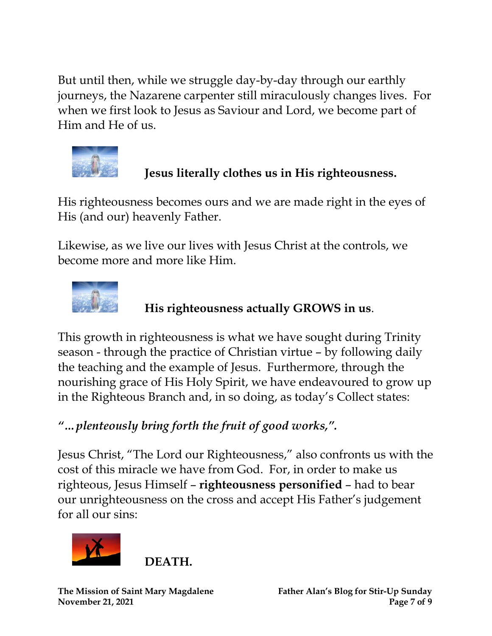But until then, while we struggle day-by-day through our earthly journeys, the Nazarene carpenter still miraculously changes lives. For when we first look to Jesus as Saviour and Lord, we become part of Him and He of us.



#### **Jesus literally clothes us in His righteousness.**

His righteousness becomes ours and we are made right in the eyes of His (and our) heavenly Father.

Likewise, as we live our lives with Jesus Christ at the controls, we become more and more like Him.



#### **His righteousness actually GROWS in us**.

This growth in righteousness is what we have sought during Trinity season - through the practice of Christian virtue – by following daily the teaching and the example of Jesus. Furthermore, through the nourishing grace of His Holy Spirit, we have endeavoured to grow up in the Righteous Branch and, in so doing, as today's Collect states:

#### *"…plenteously bring forth the fruit of good works, ".*

Jesus Christ, "The Lord our Righteousness," also confronts us with the cost of this miracle we have from God. For, in order to make us righteous, Jesus Himself – **righteousness personified** – had to bear our unrighteousness on the cross and accept His Father's judgement for all our sins:



**DEATH.**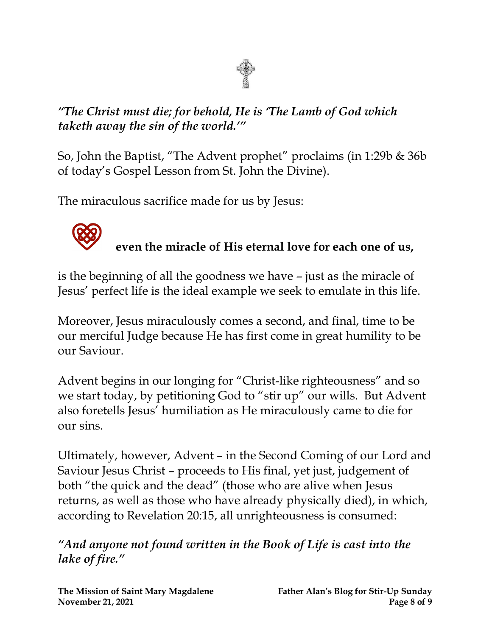#### *"The Christ must die; for behold, He is 'The Lamb of God which taketh away the sin of the world.'"*

So, John the Baptist, "The Advent prophet" proclaims (in 1:29b & 36b of today's Gospel Lesson from St. John the Divine).

The miraculous sacrifice made for us by Jesus:



## **even the miracle of His eternal love for each one of us,**

is the beginning of all the goodness we have – just as the miracle of Jesus' perfect life is the ideal example we seek to emulate in this life.

Moreover, Jesus miraculously comes a second, and final, time to be our merciful Judge because He has first come in great humility to be our Saviour.

Advent begins in our longing for "Christ-like righteousness" and so we start today, by petitioning God to "stir up" our wills. But Advent also foretells Jesus' humiliation as He miraculously came to die for our sins.

Ultimately, however, Advent – in the Second Coming of our Lord and Saviour Jesus Christ – proceeds to His final, yet just, judgement of both "the quick and the dead" (those who are alive when Jesus returns, as well as those who have already physically died), in which, according to Revelation 20:15, all unrighteousness is consumed:

*"And anyone not found written in the Book of Life is cast into the lake of fire."*